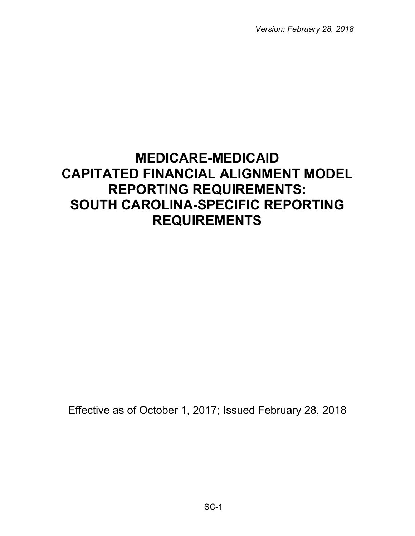*Version: February 28, 2018*

# **MEDICARE-MEDICAID CAPITATED FINANCIAL ALIGNMENT MODEL REPORTING REQUIREMENTS: SOUTH CAROLINA-SPECIFIC REPORTING REQUIREMENTS**

Effective as of October 1, 2017; Issued February 28, 2018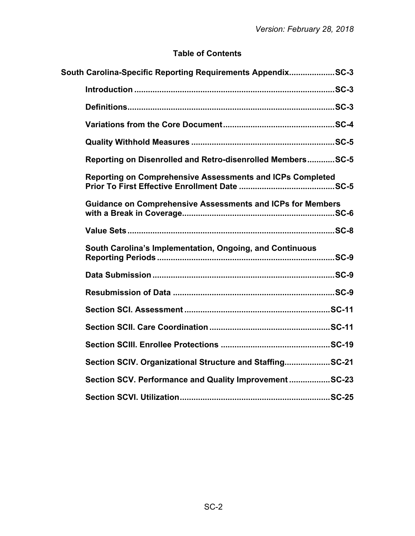# **Table of Contents**

| South Carolina-Specific Reporting Requirements AppendixSC-3       |
|-------------------------------------------------------------------|
|                                                                   |
|                                                                   |
|                                                                   |
|                                                                   |
| Reporting on Disenrolled and Retro-disenrolled MembersSC-5        |
| Reporting on Comprehensive Assessments and ICPs Completed         |
| <b>Guidance on Comprehensive Assessments and ICPs for Members</b> |
|                                                                   |
| South Carolina's Implementation, Ongoing, and Continuous          |
|                                                                   |
|                                                                   |
|                                                                   |
|                                                                   |
|                                                                   |
| Section SCIV. Organizational Structure and StaffingSC-21          |
| Section SCV. Performance and Quality Improvement SC-23            |
|                                                                   |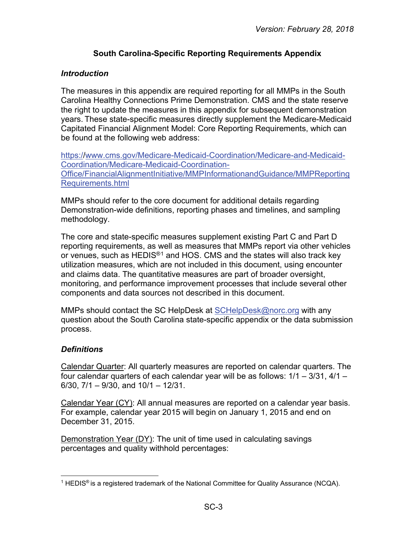## **South Carolina-Specific Reporting Requirements Appendix**

## <span id="page-2-1"></span><span id="page-2-0"></span>*Introduction*

The measures in this appendix are required reporting for all MMPs in the South Carolina Healthy Connections Prime Demonstration. CMS and the state reserve the right to update the measures in this appendix for subsequent demonstration years. These state-specific measures directly supplement the Medicare-Medicaid Capitated Financial Alignment Model: Core Reporting Requirements, which can be found at the following web address:

[https://www.cms.gov/Medicare-Medicaid-Coordination/Medicare-and-Medicaid-](https://www.cms.gov/Medicare-Medicaid-Coordination/Medicare-and-Medicaid-Coordination/Medicare-Medicaid-Coordination-Office/FinancialAlignmentInitiative/MMPInformationandGuidance/MMPReportingRequirements.html)[Coordination/Medicare-Medicaid-Coordination-](https://www.cms.gov/Medicare-Medicaid-Coordination/Medicare-and-Medicaid-Coordination/Medicare-Medicaid-Coordination-Office/FinancialAlignmentInitiative/MMPInformationandGuidance/MMPReportingRequirements.html)[Office/FinancialAlignmentInitiative/MMPInformationandGuidance/MMPReporting](https://www.cms.gov/Medicare-Medicaid-Coordination/Medicare-and-Medicaid-Coordination/Medicare-Medicaid-Coordination-Office/FinancialAlignmentInitiative/MMPInformationandGuidance/MMPReportingRequirements.html) [Requirements.html](https://www.cms.gov/Medicare-Medicaid-Coordination/Medicare-and-Medicaid-Coordination/Medicare-Medicaid-Coordination-Office/FinancialAlignmentInitiative/MMPInformationandGuidance/MMPReportingRequirements.html)

MMPs should refer to the core document for additional details regarding Demonstration-wide definitions, reporting phases and timelines, and sampling methodology.

The core and state-specific measures supplement existing Part C and Part D reporting requirements, as well as measures that MMPs report via other vehicles or venues, such as HEDIS<sup>®[1](#page-2-3)</sup> and HOS. CMS and the states will also track key utilization measures, which are not included in this document, using encounter and claims data. The quantitative measures are part of broader oversight, monitoring, and performance improvement processes that include several other components and data sources not described in this document.

MMPs should contact the SC HelpDesk at [SCHelpDesk@norc.org](mailto:SCHelpDesk@norc.org) with any question about the South Carolina state-specific appendix or the data submission process.

## <span id="page-2-2"></span>*Definitions*

Calendar Quarter: All quarterly measures are reported on calendar quarters. The four calendar quarters of each calendar year will be as follows: 1/1 – 3/31, 4/1 – 6/30,  $7/1 - 9/30$ , and  $10/1 - 12/31$ .

Calendar Year (CY): All annual measures are reported on a calendar year basis. For example, calendar year 2015 will begin on January 1, 2015 and end on December 31, 2015.

Demonstration Year (DY): The unit of time used in calculating savings percentages and quality withhold percentages:

<span id="page-2-3"></span> $\overline{a}$ <sup>1</sup> HEDIS<sup>®</sup> is a registered trademark of the National Committee for Quality Assurance (NCQA).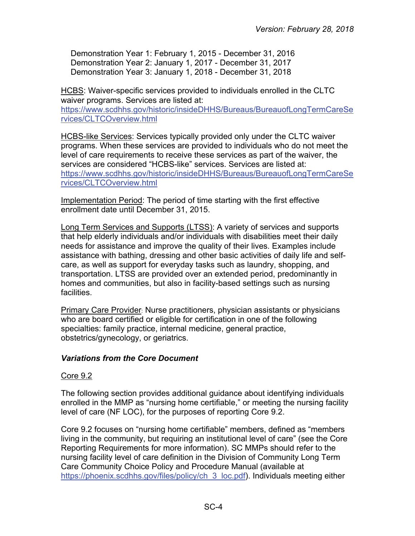Demonstration Year 1: February 1, 2015 - December 31, 2016 Demonstration Year 2: January 1, 2017 - December 31, 2017 Demonstration Year 3: January 1, 2018 - December 31, 2018

HCBS: Waiver-specific services provided to individuals enrolled in the CLTC waiver programs. Services are listed at: [https://www.scdhhs.gov/historic/insideDHHS/Bureaus/BureauofLongTermCareSe](https://www.scdhhs.gov/historic/insideDHHS/Bureaus/BureauofLongTermCareServices/CLTCOverview.html) [rvices/CLTCOverview.html](https://www.scdhhs.gov/historic/insideDHHS/Bureaus/BureauofLongTermCareServices/CLTCOverview.html)

HCBS-like Services: Services typically provided only under the CLTC waiver programs. When these services are provided to individuals who do not meet the level of care requirements to receive these services as part of the waiver, the services are considered "HCBS-like" services. Services are listed at: [https://www.scdhhs.gov/historic/insideDHHS/Bureaus/BureauofLongTermCareSe](https://www.scdhhs.gov/historic/insideDHHS/Bureaus/BureauofLongTermCareServices/CLTCOverview.html) [rvices/CLTCOverview.html](https://www.scdhhs.gov/historic/insideDHHS/Bureaus/BureauofLongTermCareServices/CLTCOverview.html) 

Implementation Period: The period of time starting with the first effective enrollment date until December 31, 2015.

Long Term Services and Supports (LTSS): A variety of services and supports that help elderly individuals and/or individuals with disabilities meet their daily needs for assistance and improve the quality of their lives. Examples include assistance with bathing, dressing and other basic activities of daily life and selfcare, as well as support for everyday tasks such as laundry, shopping, and transportation. LTSS are provided over an extended period, predominantly in homes and communities, but also in facility-based settings such as nursing facilities.

Primary Care Provider: Nurse practitioners, physician assistants or physicians who are board certified or eligible for certification in one of the following specialties: family practice, internal medicine, general practice, obstetrics/gynecology, or geriatrics.

## <span id="page-3-0"></span>*Variations from the Core Document*

## Core 9.2

The following section provides additional guidance about identifying individuals enrolled in the MMP as "nursing home certifiable," or meeting the nursing facility level of care (NF LOC), for the purposes of reporting Core 9.2.

Core 9.2 focuses on "nursing home certifiable" members, defined as "members living in the community, but requiring an institutional level of care" (see the Core Reporting Requirements for more information). SC MMPs should refer to the nursing facility level of care definition in the Division of Community Long Term Care Community Choice Policy and Procedure Manual (available at [https://phoenix.scdhhs.gov/files/policy/ch\\_3\\_loc.pdf\)](https://phoenix.scdhhs.gov/files/policy/ch_3_loc.pdf). Individuals meeting either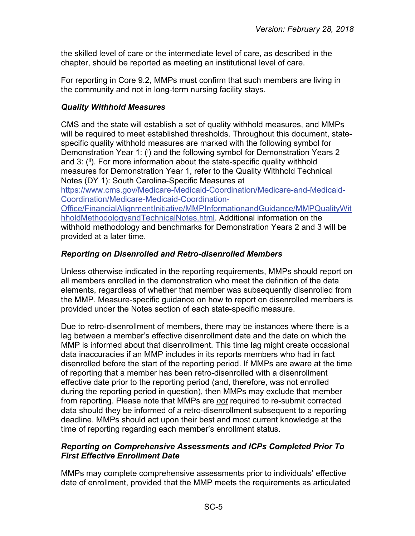the skilled level of care or the intermediate level of care, as described in the chapter, should be reported as meeting an institutional level of care.

For reporting in Core 9.2, MMPs must confirm that such members are living in the community and not in long-term nursing facility stays.

#### <span id="page-4-0"></span>*Quality Withhold Measures*

CMS and the state will establish a set of quality withhold measures, and MMPs will be required to meet established thresholds. Throughout this document, statespecific quality withhold measures are marked with the following symbol for Demonstration Year 1: (i) and the following symbol for Demonstration Years 2 and 3: (ii). For more information about the state-specific quality withhold measures for Demonstration Year 1, refer to the Quality Withhold Technical Notes (DY 1): South Carolina-Specific Measures at

[https://www.cms.gov/Medicare-Medicaid-Coordination/Medicare-and-Medicaid-](https://www.cms.gov/Medicare-Medicaid-Coordination/Medicare-and-Medicaid-Coordination/Medicare-Medicaid-Coordination-Office/FinancialAlignmentInitiative/MMPInformationandGuidance/MMPQualityWithholdMethodologyandTechnicalNotes.html)[Coordination/Medicare-Medicaid-Coordination-](https://www.cms.gov/Medicare-Medicaid-Coordination/Medicare-and-Medicaid-Coordination/Medicare-Medicaid-Coordination-Office/FinancialAlignmentInitiative/MMPInformationandGuidance/MMPQualityWithholdMethodologyandTechnicalNotes.html)

[Office/FinancialAlignmentInitiative/MMPInformationandGuidance/MMPQualityWit](https://www.cms.gov/Medicare-Medicaid-Coordination/Medicare-and-Medicaid-Coordination/Medicare-Medicaid-Coordination-Office/FinancialAlignmentInitiative/MMPInformationandGuidance/MMPQualityWithholdMethodologyandTechnicalNotes.html) [hholdMethodologyandTechnicalNotes.html.](https://www.cms.gov/Medicare-Medicaid-Coordination/Medicare-and-Medicaid-Coordination/Medicare-Medicaid-Coordination-Office/FinancialAlignmentInitiative/MMPInformationandGuidance/MMPQualityWithholdMethodologyandTechnicalNotes.html) Additional information on the withhold methodology and benchmarks for Demonstration Years 2 and 3 will be provided at a later time.

## <span id="page-4-1"></span>*Reporting on Disenrolled and Retro-disenrolled Members*

Unless otherwise indicated in the reporting requirements, MMPs should report on all members enrolled in the demonstration who meet the definition of the data elements, regardless of whether that member was subsequently disenrolled from the MMP. Measure-specific guidance on how to report on disenrolled members is provided under the Notes section of each state-specific measure.

Due to retro-disenrollment of members, there may be instances where there is a lag between a member's effective disenrollment date and the date on which the MMP is informed about that disenrollment. This time lag might create occasional data inaccuracies if an MMP includes in its reports members who had in fact disenrolled before the start of the reporting period. If MMPs are aware at the time of reporting that a member has been retro-disenrolled with a disenrollment effective date prior to the reporting period (and, therefore, was not enrolled during the reporting period in question), then MMPs may exclude that member from reporting. Please note that MMPs are *not* required to re-submit corrected data should they be informed of a retro-disenrollment subsequent to a reporting deadline. MMPs should act upon their best and most current knowledge at the time of reporting regarding each member's enrollment status.

## <span id="page-4-2"></span>*Reporting on Comprehensive Assessments and ICPs Completed Prior To First Effective Enrollment Date*

MMPs may complete comprehensive assessments prior to individuals' effective date of enrollment, provided that the MMP meets the requirements as articulated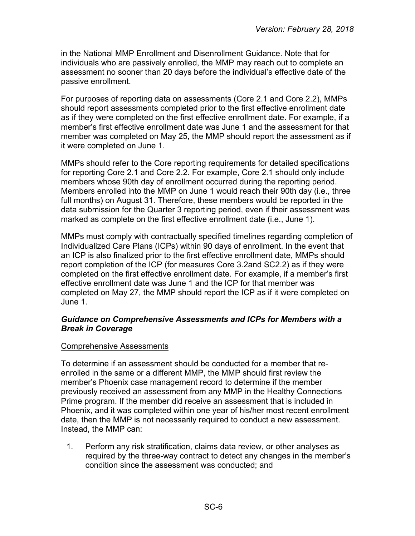in the National MMP Enrollment and Disenrollment Guidance. Note that for individuals who are passively enrolled, the MMP may reach out to complete an assessment no sooner than 20 days before the individual's effective date of the passive enrollment.

For purposes of reporting data on assessments (Core 2.1 and Core 2.2), MMPs should report assessments completed prior to the first effective enrollment date as if they were completed on the first effective enrollment date. For example, if a member's first effective enrollment date was June 1 and the assessment for that member was completed on May 25, the MMP should report the assessment as if it were completed on June 1.

MMPs should refer to the Core reporting requirements for detailed specifications for reporting Core 2.1 and Core 2.2. For example, Core 2.1 should only include members whose 90th day of enrollment occurred during the reporting period. Members enrolled into the MMP on June 1 would reach their 90th day (i.e., three full months) on August 31. Therefore, these members would be reported in the data submission for the Quarter 3 reporting period, even if their assessment was marked as complete on the first effective enrollment date (i.e., June 1).

MMPs must comply with contractually specified timelines regarding completion of Individualized Care Plans (ICPs) within 90 days of enrollment. In the event that an ICP is also finalized prior to the first effective enrollment date, MMPs should report completion of the ICP (for measures Core 3.2and SC2.2) as if they were completed on the first effective enrollment date. For example, if a member's first effective enrollment date was June 1 and the ICP for that member was completed on May 27, the MMP should report the ICP as if it were completed on June 1.

#### <span id="page-5-0"></span>*Guidance on Comprehensive Assessments and ICPs for Members with a Break in Coverage*

#### Comprehensive Assessments

To determine if an assessment should be conducted for a member that reenrolled in the same or a different MMP, the MMP should first review the member's Phoenix case management record to determine if the member previously received an assessment from any MMP in the Healthy Connections Prime program. If the member did receive an assessment that is included in Phoenix, and it was completed within one year of his/her most recent enrollment date, then the MMP is not necessarily required to conduct a new assessment. Instead, the MMP can:

1. Perform any risk stratification, claims data review, or other analyses as required by the three-way contract to detect any changes in the member's condition since the assessment was conducted; and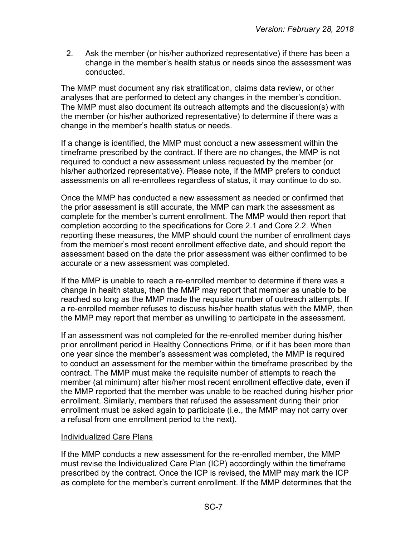2. Ask the member (or his/her authorized representative) if there has been a change in the member's health status or needs since the assessment was conducted.

The MMP must document any risk stratification, claims data review, or other analyses that are performed to detect any changes in the member's condition. The MMP must also document its outreach attempts and the discussion(s) with the member (or his/her authorized representative) to determine if there was a change in the member's health status or needs.

If a change is identified, the MMP must conduct a new assessment within the timeframe prescribed by the contract. If there are no changes, the MMP is not required to conduct a new assessment unless requested by the member (or his/her authorized representative). Please note, if the MMP prefers to conduct assessments on all re-enrollees regardless of status, it may continue to do so.

Once the MMP has conducted a new assessment as needed or confirmed that the prior assessment is still accurate, the MMP can mark the assessment as complete for the member's current enrollment. The MMP would then report that completion according to the specifications for Core 2.1 and Core 2.2. When reporting these measures, the MMP should count the number of enrollment days from the member's most recent enrollment effective date, and should report the assessment based on the date the prior assessment was either confirmed to be accurate or a new assessment was completed.

If the MMP is unable to reach a re-enrolled member to determine if there was a change in health status, then the MMP may report that member as unable to be reached so long as the MMP made the requisite number of outreach attempts. If a re-enrolled member refuses to discuss his/her health status with the MMP, then the MMP may report that member as unwilling to participate in the assessment.

If an assessment was not completed for the re-enrolled member during his/her prior enrollment period in Healthy Connections Prime, or if it has been more than one year since the member's assessment was completed, the MMP is required to conduct an assessment for the member within the timeframe prescribed by the contract. The MMP must make the requisite number of attempts to reach the member (at minimum) after his/her most recent enrollment effective date, even if the MMP reported that the member was unable to be reached during his/her prior enrollment. Similarly, members that refused the assessment during their prior enrollment must be asked again to participate (i.e., the MMP may not carry over a refusal from one enrollment period to the next).

#### Individualized Care Plans

If the MMP conducts a new assessment for the re-enrolled member, the MMP must revise the Individualized Care Plan (ICP) accordingly within the timeframe prescribed by the contract. Once the ICP is revised, the MMP may mark the ICP as complete for the member's current enrollment. If the MMP determines that the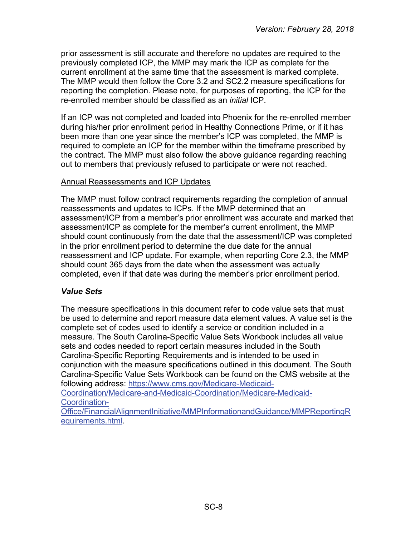prior assessment is still accurate and therefore no updates are required to the previously completed ICP, the MMP may mark the ICP as complete for the current enrollment at the same time that the assessment is marked complete. The MMP would then follow the Core 3.2 and SC2.2 measure specifications for reporting the completion. Please note, for purposes of reporting, the ICP for the re-enrolled member should be classified as an *initial* ICP.

If an ICP was not completed and loaded into Phoenix for the re-enrolled member during his/her prior enrollment period in Healthy Connections Prime, or if it has been more than one year since the member's ICP was completed, the MMP is required to complete an ICP for the member within the timeframe prescribed by the contract. The MMP must also follow the above guidance regarding reaching out to members that previously refused to participate or were not reached.

#### Annual Reassessments and ICP Updates

The MMP must follow contract requirements regarding the completion of annual reassessments and updates to ICPs. If the MMP determined that an assessment/ICP from a member's prior enrollment was accurate and marked that assessment/ICP as complete for the member's current enrollment, the MMP should count continuously from the date that the assessment/ICP was completed in the prior enrollment period to determine the due date for the annual reassessment and ICP update. For example, when reporting Core 2.3, the MMP should count 365 days from the date when the assessment was actually completed, even if that date was during the member's prior enrollment period.

## <span id="page-7-0"></span>*Value Sets*

The measure specifications in this document refer to code value sets that must be used to determine and report measure data element values. A value set is the complete set of codes used to identify a service or condition included in a measure. The South Carolina-Specific Value Sets Workbook includes all value sets and codes needed to report certain measures included in the South Carolina-Specific Reporting Requirements and is intended to be used in conjunction with the measure specifications outlined in this document. The South Carolina-Specific Value Sets Workbook can be found on the CMS website at the following address: [https://www.cms.gov/Medicare-Medicaid-](https://www.cms.gov/Medicare-Medicaid-Coordination/Medicare-and-Medicaid-Coordination/Medicare-Medicaid-Coordination-Office/FinancialAlignmentInitiative/MMPInformationandGuidance/MMPReportingRequirements.html)[Coordination/Medicare-and-Medicaid-Coordination/Medicare-Medicaid-](https://www.cms.gov/Medicare-Medicaid-Coordination/Medicare-and-Medicaid-Coordination/Medicare-Medicaid-Coordination-Office/FinancialAlignmentInitiative/MMPInformationandGuidance/MMPReportingRequirements.html)

[Coordination-](https://www.cms.gov/Medicare-Medicaid-Coordination/Medicare-and-Medicaid-Coordination/Medicare-Medicaid-Coordination-Office/FinancialAlignmentInitiative/MMPInformationandGuidance/MMPReportingRequirements.html)

[Office/FinancialAlignmentInitiative/MMPInformationandGuidance/MMPReportingR](https://www.cms.gov/Medicare-Medicaid-Coordination/Medicare-and-Medicaid-Coordination/Medicare-Medicaid-Coordination-Office/FinancialAlignmentInitiative/MMPInformationandGuidance/MMPReportingRequirements.html) [equirements.html.](https://www.cms.gov/Medicare-Medicaid-Coordination/Medicare-and-Medicaid-Coordination/Medicare-Medicaid-Coordination-Office/FinancialAlignmentInitiative/MMPInformationandGuidance/MMPReportingRequirements.html)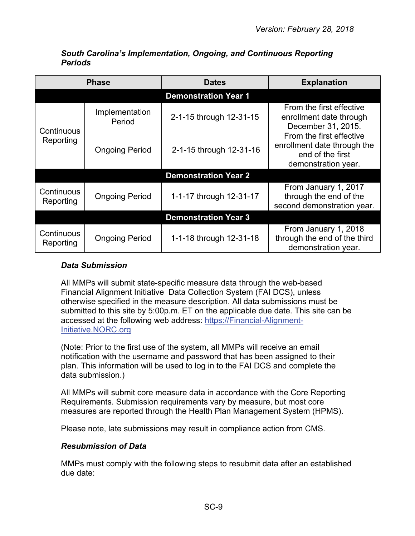<span id="page-8-0"></span>

|                             | <b>Phase</b>             | <b>Dates</b>                | <b>Explanation</b>                                                                                 |  |  |
|-----------------------------|--------------------------|-----------------------------|----------------------------------------------------------------------------------------------------|--|--|
|                             |                          | <b>Demonstration Year 1</b> |                                                                                                    |  |  |
| Continuous<br>Reporting     | Implementation<br>Period | 2-1-15 through 12-31-15     | From the first effective<br>enrollment date through<br>December 31, 2015.                          |  |  |
|                             | <b>Ongoing Period</b>    | 2-1-15 through 12-31-16     | From the first effective<br>enrollment date through the<br>end of the first<br>demonstration year. |  |  |
|                             |                          | <b>Demonstration Year 2</b> |                                                                                                    |  |  |
| Continuous<br>Reporting     | <b>Ongoing Period</b>    | 1-1-17 through 12-31-17     | From January 1, 2017<br>through the end of the<br>second demonstration year.                       |  |  |
| <b>Demonstration Year 3</b> |                          |                             |                                                                                                    |  |  |
| Continuous<br>Reporting     | <b>Ongoing Period</b>    | 1-1-18 through 12-31-18     | From January 1, 2018<br>through the end of the third<br>demonstration year.                        |  |  |

#### *South Carolina's Implementation, Ongoing, and Continuous Reporting Periods*

## <span id="page-8-1"></span>*Data Submission*

All MMPs will submit state-specific measure data through the web-based Financial Alignment Initiative Data Collection System (FAI DCS), unless otherwise specified in the measure description. All data submissions must be submitted to this site by 5:00p.m. ET on the applicable due date. This site can be accessed at the following web address: [https://Financial-Alignment-](https://financial-alignment-initiative.norc.org/)[Initiative.NORC.org](https://financial-alignment-initiative.norc.org/)

(Note: Prior to the first use of the system, all MMPs will receive an email notification with the username and password that has been assigned to their plan. This information will be used to log in to the FAI DCS and complete the data submission.)

All MMPs will submit core measure data in accordance with the Core Reporting Requirements. Submission requirements vary by measure, but most core measures are reported through the Health Plan Management System (HPMS).

Please note, late submissions may result in compliance action from CMS.

## <span id="page-8-2"></span>*Resubmission of Data*

MMPs must comply with the following steps to resubmit data after an established due date: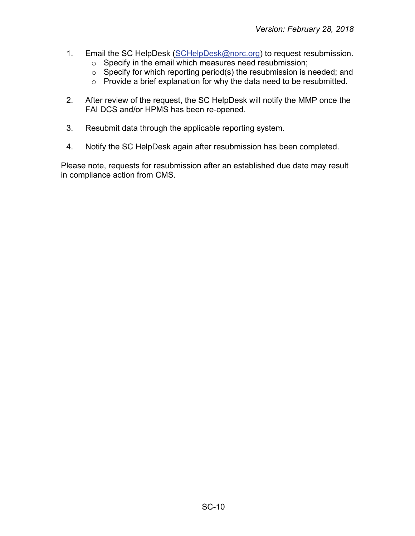- 1. Email the SC HelpDesk [\(SCHelpDesk@norc.org\)](mailto:SCHelpDesk@norc.org) to request resubmission.
	- o Specify in the email which measures need resubmission;
	- $\circ$  Specify for which reporting period(s) the resubmission is needed; and
	- o Provide a brief explanation for why the data need to be resubmitted.
- 2. After review of the request, the SC HelpDesk will notify the MMP once the FAI DCS and/or HPMS has been re-opened.
- 3. Resubmit data through the applicable reporting system.
- 4. Notify the SC HelpDesk again after resubmission has been completed.

Please note, requests for resubmission after an established due date may result in compliance action from CMS.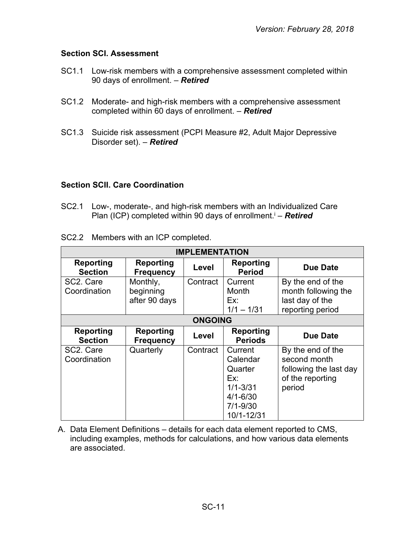#### <span id="page-10-0"></span>**Section SCI. Assessment**

- SC1.1 Low-risk members with a comprehensive assessment completed within 90 days of enrollment. – *Retired*
- SC1.2 Moderate- and high-risk members with a comprehensive assessment completed within 60 days of enrollment. – *Retired*
- SC1.3 Suicide risk assessment (PCPI Measure #2, Adult Major Depressive Disorder set). – *Retired*

#### <span id="page-10-1"></span>**Section SCII. Care Coordination**

SC2.1 Low-, moderate-, and high-risk members with an Individualized Care Plan (ICP) completed within 90 days of enrollment.<sup>i</sup> - **Retired** 

|  | SC2.2 Members with an ICP completed. |
|--|--------------------------------------|
|--|--------------------------------------|

| <b>IMPLEMENTATION</b>                  |                                        |                |                                                                                                     |                                                                                           |  |
|----------------------------------------|----------------------------------------|----------------|-----------------------------------------------------------------------------------------------------|-------------------------------------------------------------------------------------------|--|
| <b>Reporting</b><br><b>Section</b>     | Reporting<br><b>Frequency</b>          | Level          | Reporting<br><b>Period</b>                                                                          | <b>Due Date</b>                                                                           |  |
| SC <sub>2</sub> . Care<br>Coordination | Monthly,<br>beginning<br>after 90 days | Contract       | Current<br>Month<br>Ex:<br>$1/1 - 1/31$                                                             | By the end of the<br>month following the<br>last day of the<br>reporting period           |  |
|                                        |                                        | <b>ONGOING</b> |                                                                                                     |                                                                                           |  |
| Reporting<br><b>Section</b>            | <b>Reporting</b><br><b>Frequency</b>   | Level          | Reporting<br><b>Periods</b>                                                                         | Due Date                                                                                  |  |
| SC <sub>2</sub> . Care<br>Coordination | Quarterly                              | Contract       | Current<br>Calendar<br>Quarter<br>Ex:<br>$1/1 - 3/31$<br>$4/1 - 6/30$<br>$7/1 - 9/30$<br>10/1-12/31 | By the end of the<br>second month<br>following the last day<br>of the reporting<br>period |  |

A. Data Element Definitions – details for each data element reported to CMS, including examples, methods for calculations, and how various data elements are associated.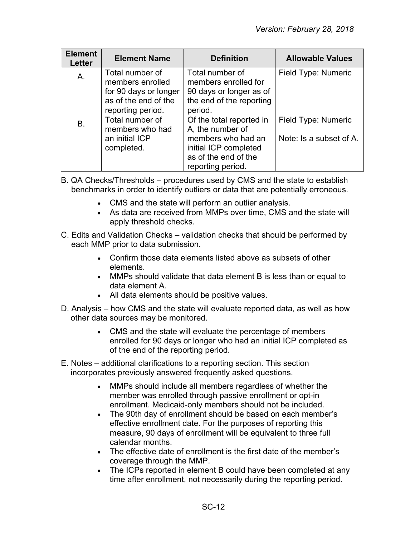| <b>Element</b><br>Letter | <b>Element Name</b>                                                                                       | <b>Definition</b>                                                                                                                        | <b>Allowable Values</b>                        |
|--------------------------|-----------------------------------------------------------------------------------------------------------|------------------------------------------------------------------------------------------------------------------------------------------|------------------------------------------------|
| A.                       | Total number of<br>members enrolled<br>for 90 days or longer<br>as of the end of the<br>reporting period. | Total number of<br>members enrolled for<br>90 days or longer as of<br>the end of the reporting<br>period.                                | Field Type: Numeric                            |
| Β.                       | Total number of<br>members who had<br>an initial ICP<br>completed.                                        | Of the total reported in<br>A, the number of<br>members who had an<br>initial ICP completed<br>as of the end of the<br>reporting period. | Field Type: Numeric<br>Note: Is a subset of A. |

- B. QA Checks/Thresholds procedures used by CMS and the state to establish benchmarks in order to identify outliers or data that are potentially erroneous.
	- CMS and the state will perform an outlier analysis.
	- As data are received from MMPs over time, CMS and the state will apply threshold checks.
- C. Edits and Validation Checks validation checks that should be performed by each MMP prior to data submission.
	- Confirm those data elements listed above as subsets of other elements.
	- MMPs should validate that data element B is less than or equal to data element A.
	- All data elements should be positive values.
- D. Analysis how CMS and the state will evaluate reported data, as well as how other data sources may be monitored.
	- CMS and the state will evaluate the percentage of members enrolled for 90 days or longer who had an initial ICP completed as of the end of the reporting period.
- E. Notes additional clarifications to a reporting section. This section incorporates previously answered frequently asked questions.
	- MMPs should include all members regardless of whether the member was enrolled through passive enrollment or opt-in enrollment. Medicaid-only members should not be included.
	- The 90th day of enrollment should be based on each member's effective enrollment date. For the purposes of reporting this measure, 90 days of enrollment will be equivalent to three full calendar months.
	- The effective date of enrollment is the first date of the member's coverage through the MMP.
	- The ICPs reported in element B could have been completed at any time after enrollment, not necessarily during the reporting period.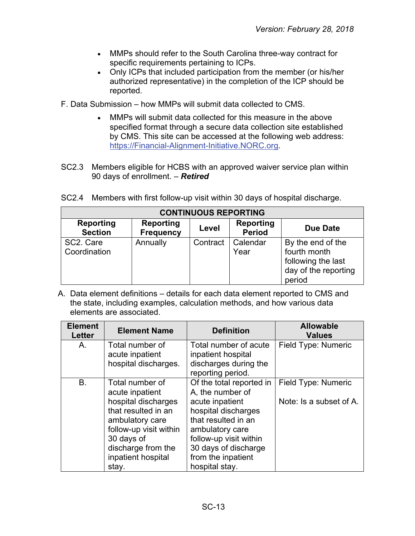- MMPs should refer to the South Carolina three-way contract for specific requirements pertaining to ICPs.
- Only ICPs that included participation from the member (or his/her authorized representative) in the completion of the ICP should be reported.
- F. Data Submission how MMPs will submit data collected to CMS.
	- MMPs will submit data collected for this measure in the above specified format through a secure data collection site established by CMS. This site can be accessed at the following web address: [https://Financial-Alignment-Initiative.NORC.org.](https://financial-alignment-initiative.norc.org/)
- SC2.3 Members eligible for HCBS with an approved waiver service plan within 90 days of enrollment. – *Retired*

|  |  |  |  |  | SC2.4 Members with first follow-up visit within 30 days of hospital discharge. |
|--|--|--|--|--|--------------------------------------------------------------------------------|
|--|--|--|--|--|--------------------------------------------------------------------------------|

| <b>CONTINUOUS REPORTING</b>        |                                      |          |                            |                                                                                           |  |  |
|------------------------------------|--------------------------------------|----------|----------------------------|-------------------------------------------------------------------------------------------|--|--|
| <b>Reporting</b><br><b>Section</b> | <b>Reporting</b><br><b>Frequency</b> | Level    | Reporting<br><b>Period</b> | <b>Due Date</b>                                                                           |  |  |
| SC2. Care<br>Coordination          | Annually                             | Contract | Calendar<br>Year           | By the end of the<br>fourth month<br>following the last<br>day of the reporting<br>period |  |  |

A. Data element definitions – details for each data element reported to CMS and the state, including examples, calculation methods, and how various data elements are associated.

| <b>Element</b><br><b>Letter</b> | <b>Element Name</b>                                                                                                                                                                              | <b>Definition</b>                                                                                                                                                                                                          | <b>Allowable</b><br><b>Values</b>              |
|---------------------------------|--------------------------------------------------------------------------------------------------------------------------------------------------------------------------------------------------|----------------------------------------------------------------------------------------------------------------------------------------------------------------------------------------------------------------------------|------------------------------------------------|
| A.                              | Total number of<br>acute inpatient                                                                                                                                                               | Total number of acute<br>inpatient hospital                                                                                                                                                                                | Field Type: Numeric                            |
|                                 | hospital discharges.                                                                                                                                                                             | discharges during the<br>reporting period.                                                                                                                                                                                 |                                                |
| <b>B.</b>                       | Total number of<br>acute inpatient<br>hospital discharges<br>that resulted in an<br>ambulatory care<br>follow-up visit within<br>30 days of<br>discharge from the<br>inpatient hospital<br>stay. | Of the total reported in<br>A, the number of<br>acute inpatient<br>hospital discharges<br>that resulted in an<br>ambulatory care<br>follow-up visit within<br>30 days of discharge<br>from the inpatient<br>hospital stay. | Field Type: Numeric<br>Note: Is a subset of A. |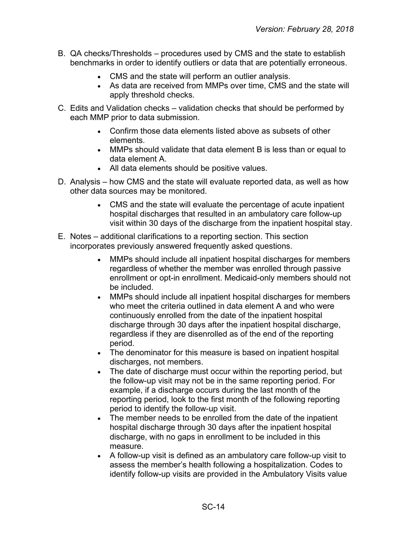- B. QA checks/Thresholds procedures used by CMS and the state to establish benchmarks in order to identify outliers or data that are potentially erroneous.
	- CMS and the state will perform an outlier analysis.
	- As data are received from MMPs over time, CMS and the state will apply threshold checks.
- C. Edits and Validation checks validation checks that should be performed by each MMP prior to data submission.
	- Confirm those data elements listed above as subsets of other elements.
	- MMPs should validate that data element B is less than or equal to data element A.
	- All data elements should be positive values.
- D. Analysis how CMS and the state will evaluate reported data, as well as how other data sources may be monitored.
	- CMS and the state will evaluate the percentage of acute inpatient hospital discharges that resulted in an ambulatory care follow-up visit within 30 days of the discharge from the inpatient hospital stay.
- E. Notes additional clarifications to a reporting section. This section incorporates previously answered frequently asked questions.
	- MMPs should include all inpatient hospital discharges for members regardless of whether the member was enrolled through passive enrollment or opt-in enrollment. Medicaid-only members should not be included.
	- MMPs should include all inpatient hospital discharges for members who meet the criteria outlined in data element A and who were continuously enrolled from the date of the inpatient hospital discharge through 30 days after the inpatient hospital discharge, regardless if they are disenrolled as of the end of the reporting period.
	- The denominator for this measure is based on inpatient hospital discharges, not members.
	- The date of discharge must occur within the reporting period, but the follow-up visit may not be in the same reporting period. For example, if a discharge occurs during the last month of the reporting period, look to the first month of the following reporting period to identify the follow-up visit.
	- The member needs to be enrolled from the date of the inpatient hospital discharge through 30 days after the inpatient hospital discharge, with no gaps in enrollment to be included in this measure.
	- A follow-up visit is defined as an ambulatory care follow-up visit to assess the member's health following a hospitalization. Codes to identify follow-up visits are provided in the Ambulatory Visits value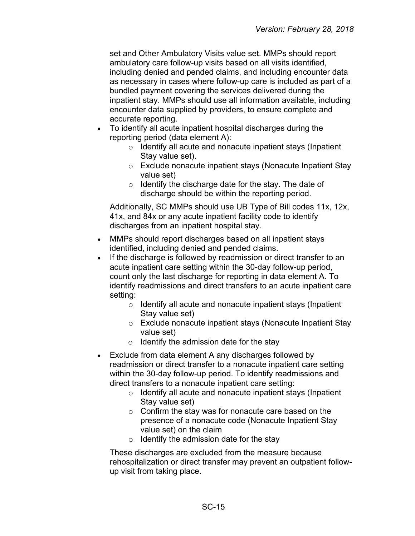set and Other Ambulatory Visits value set. MMPs should report ambulatory care follow-up visits based on all visits identified, including denied and pended claims, and including encounter data as necessary in cases where follow-up care is included as part of a bundled payment covering the services delivered during the inpatient stay. MMPs should use all information available, including encounter data supplied by providers, to ensure complete and accurate reporting.

- To identify all acute inpatient hospital discharges during the reporting period (data element A):
	- $\circ$  Identify all acute and nonacute inpatient stays (Inpatient Stay value set).
	- o Exclude nonacute inpatient stays (Nonacute Inpatient Stay value set)
	- $\circ$  Identify the discharge date for the stay. The date of discharge should be within the reporting period.

Additionally, SC MMPs should use UB Type of Bill codes 11x, 12x, 41x, and 84x or any acute inpatient facility code to identify discharges from an inpatient hospital stay.

- MMPs should report discharges based on all inpatient stays identified, including denied and pended claims.
- If the discharge is followed by readmission or direct transfer to an acute inpatient care setting within the 30-day follow-up period, count only the last discharge for reporting in data element A. To identify readmissions and direct transfers to an acute inpatient care setting:
	- o Identify all acute and nonacute inpatient stays (Inpatient Stay value set)
	- o Exclude nonacute inpatient stays (Nonacute Inpatient Stay value set)
	- $\circ$  Identify the admission date for the stay
- Exclude from data element A any discharges followed by readmission or direct transfer to a nonacute inpatient care setting within the 30-day follow-up period. To identify readmissions and direct transfers to a nonacute inpatient care setting:
	- o Identify all acute and nonacute inpatient stays (Inpatient Stay value set)
	- o Confirm the stay was for nonacute care based on the presence of a nonacute code (Nonacute Inpatient Stay value set) on the claim
	- $\circ$  Identify the admission date for the stay

These discharges are excluded from the measure because rehospitalization or direct transfer may prevent an outpatient followup visit from taking place.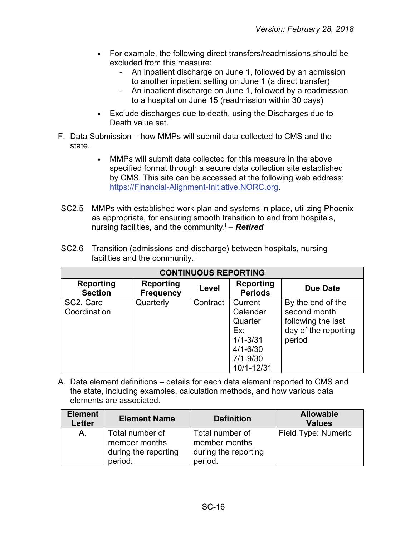- For example, the following direct transfers/readmissions should be excluded from this measure:
	- An inpatient discharge on June 1, followed by an admission to another inpatient setting on June 1 (a direct transfer)
	- An inpatient discharge on June 1, followed by a readmission to a hospital on June 15 (readmission within 30 days)
- Exclude discharges due to death, using the Discharges due to Death value set.
- F. Data Submission how MMPs will submit data collected to CMS and the state.
	- MMPs will submit data collected for this measure in the above specified format through a secure data collection site established by CMS. This site can be accessed at the following web address: [https://Financial-Alignment-Initiative.NORC.org.](https://financial-alignment-initiative.norc.org/)
- SC2.5 MMPs with established work plan and systems in place, utilizing Phoenix as appropriate, for ensuring smooth transition to and from hospitals, nursing facilities, and the community.<sup>i</sup> – **Retired**

| <b>CONTINUOUS REPORTING</b> |                                      |          |                                                                                                     |                                                                                           |  |  |
|-----------------------------|--------------------------------------|----------|-----------------------------------------------------------------------------------------------------|-------------------------------------------------------------------------------------------|--|--|
| Reporting<br><b>Section</b> | <b>Reporting</b><br><b>Frequency</b> | Level    | <b>Reporting</b><br><b>Periods</b>                                                                  | <b>Due Date</b>                                                                           |  |  |
| SC2. Care<br>Coordination   | Quarterly                            | Contract | Current<br>Calendar<br>Quarter<br>Ex:<br>$1/1 - 3/31$<br>$4/1 - 6/30$<br>$7/1 - 9/30$<br>10/1-12/31 | By the end of the<br>second month<br>following the last<br>day of the reporting<br>period |  |  |

SC2.6 Transition (admissions and discharge) between hospitals, nursing facilities and the community. ii

A. Data element definitions – details for each data element reported to CMS and the state, including examples, calculation methods, and how various data elements are associated.

| <b>Element</b><br><b>Letter</b> | <b>Element Name</b>                                                 | <b>Definition</b>                                                   | <b>Allowable</b><br><b>Values</b> |
|---------------------------------|---------------------------------------------------------------------|---------------------------------------------------------------------|-----------------------------------|
| A.                              | Total number of<br>member months<br>during the reporting<br>period. | Total number of<br>member months<br>during the reporting<br>period. | Field Type: Numeric               |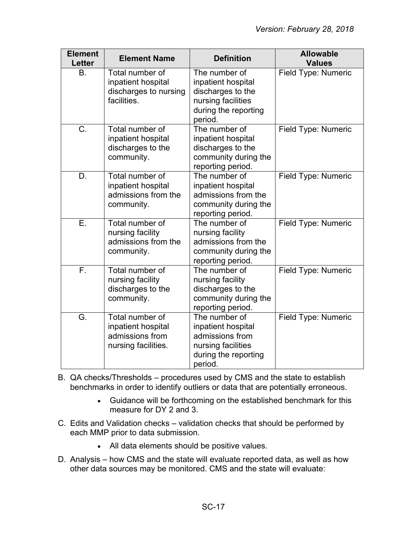| <b>Element</b><br><b>Letter</b> | <b>Element Name</b>                                                             | <b>Definition</b>                                                                                                 | <b>Allowable</b><br><b>Values</b> |
|---------------------------------|---------------------------------------------------------------------------------|-------------------------------------------------------------------------------------------------------------------|-----------------------------------|
| <b>B.</b>                       | Total number of<br>inpatient hospital<br>discharges to nursing<br>facilities.   | The number of<br>inpatient hospital<br>discharges to the<br>nursing facilities<br>during the reporting<br>period. | Field Type: Numeric               |
| C.                              | Total number of<br>inpatient hospital<br>discharges to the<br>community.        | The number of<br>inpatient hospital<br>discharges to the<br>community during the<br>reporting period.             | Field Type: Numeric               |
| D.                              | Total number of<br>inpatient hospital<br>admissions from the<br>community.      | The number of<br>inpatient hospital<br>admissions from the<br>community during the<br>reporting period.           | Field Type: Numeric               |
| Ε.                              | Total number of<br>nursing facility<br>admissions from the<br>community.        | The number of<br>nursing facility<br>admissions from the<br>community during the<br>reporting period.             | Field Type: Numeric               |
| $\overline{F}$ .                | Total number of<br>nursing facility<br>discharges to the<br>community.          | The number of<br>nursing facility<br>discharges to the<br>community during the<br>reporting period.               | Field Type: Numeric               |
| G.                              | Total number of<br>inpatient hospital<br>admissions from<br>nursing facilities. | The number of<br>inpatient hospital<br>admissions from<br>nursing facilities<br>during the reporting<br>period.   | Field Type: Numeric               |

- B. QA checks/Thresholds procedures used by CMS and the state to establish benchmarks in order to identify outliers or data that are potentially erroneous.
	- Guidance will be forthcoming on the established benchmark for this measure for DY 2 and 3.
- C. Edits and Validation checks validation checks that should be performed by each MMP prior to data submission.
	- All data elements should be positive values.
- D. Analysis how CMS and the state will evaluate reported data, as well as how other data sources may be monitored. CMS and the state will evaluate: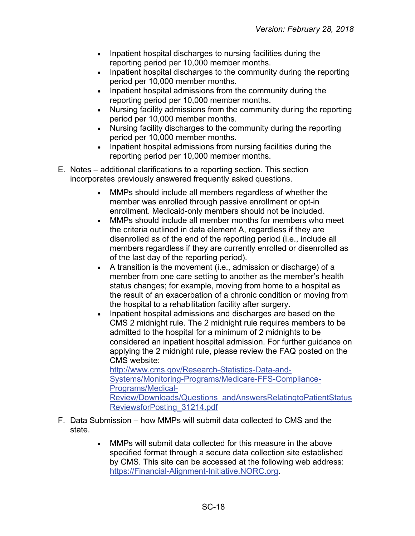- Inpatient hospital discharges to nursing facilities during the reporting period per 10,000 member months.
- Inpatient hospital discharges to the community during the reporting period per 10,000 member months.
- Inpatient hospital admissions from the community during the reporting period per 10,000 member months.
- Nursing facility admissions from the community during the reporting period per 10,000 member months.
- Nursing facility discharges to the community during the reporting period per 10,000 member months.
- Inpatient hospital admissions from nursing facilities during the reporting period per 10,000 member months.
- E. Notes additional clarifications to a reporting section. This section incorporates previously answered frequently asked questions.
	- MMPs should include all members regardless of whether the member was enrolled through passive enrollment or opt-in enrollment. Medicaid-only members should not be included.
	- MMPs should include all member months for members who meet the criteria outlined in data element A, regardless if they are disenrolled as of the end of the reporting period (i.e., include all members regardless if they are currently enrolled or disenrolled as of the last day of the reporting period).
	- A transition is the movement (i.e., admission or discharge) of a member from one care setting to another as the member's health status changes; for example, moving from home to a hospital as the result of an exacerbation of a chronic condition or moving from the hospital to a rehabilitation facility after surgery.
	- Inpatient hospital admissions and discharges are based on the CMS 2 midnight rule. The 2 midnight rule requires members to be admitted to the hospital for a minimum of 2 midnights to be considered an inpatient hospital admission. For further guidance on applying the 2 midnight rule, please review the FAQ posted on the CMS website: [http://www.cms.gov/Research-Statistics-Data-and-](http://www.cms.gov/Research-Statistics-Data-and-Systems/Monitoring-Programs/Medicare-FFS-Compliance-Programs/Medical-Review/Downloads/Questions_andAnswersRelatingtoPatientStatusReviewsforPosting_31214.pdf)

[Systems/Monitoring-Programs/Medicare-FFS-Compliance-](http://www.cms.gov/Research-Statistics-Data-and-Systems/Monitoring-Programs/Medicare-FFS-Compliance-Programs/Medical-Review/Downloads/Questions_andAnswersRelatingtoPatientStatusReviewsforPosting_31214.pdf)[Programs/Medical-](http://www.cms.gov/Research-Statistics-Data-and-Systems/Monitoring-Programs/Medicare-FFS-Compliance-Programs/Medical-Review/Downloads/Questions_andAnswersRelatingtoPatientStatusReviewsforPosting_31214.pdf)[Review/Downloads/Questions\\_andAnswersRelatingtoPatientStatus](http://www.cms.gov/Research-Statistics-Data-and-Systems/Monitoring-Programs/Medicare-FFS-Compliance-Programs/Medical-Review/Downloads/Questions_andAnswersRelatingtoPatientStatusReviewsforPosting_31214.pdf)

- [ReviewsforPosting\\_31214.pdf](http://www.cms.gov/Research-Statistics-Data-and-Systems/Monitoring-Programs/Medicare-FFS-Compliance-Programs/Medical-Review/Downloads/Questions_andAnswersRelatingtoPatientStatusReviewsforPosting_31214.pdf)
- F. Data Submission how MMPs will submit data collected to CMS and the state.
	- MMPs will submit data collected for this measure in the above specified format through a secure data collection site established by CMS. This site can be accessed at the following web address: [https://Financial-Alignment-Initiative.NORC.org.](https://financial-alignment-initiative.norc.org/)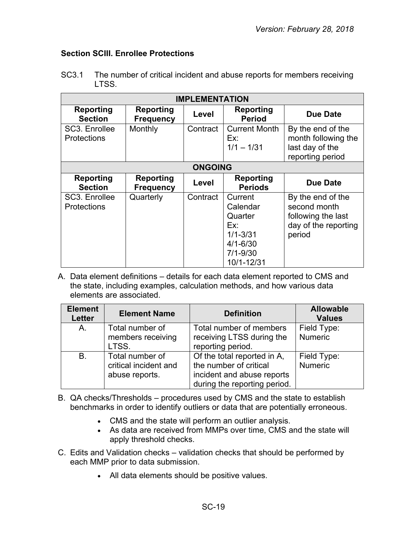#### <span id="page-18-0"></span>**Section SCIII. Enrollee Protections**

| <b>IMPLEMENTATION</b>               |                                      |                |                                                                                                     |                                                                                           |  |
|-------------------------------------|--------------------------------------|----------------|-----------------------------------------------------------------------------------------------------|-------------------------------------------------------------------------------------------|--|
| <b>Reporting</b><br><b>Section</b>  | <b>Reporting</b><br><b>Frequency</b> | Level          | <b>Reporting</b><br><b>Period</b>                                                                   | <b>Due Date</b>                                                                           |  |
| SC3. Enrollee<br><b>Protections</b> | Monthly                              | Contract       | <b>Current Month</b><br>Ex:<br>$1/1 - 1/31$                                                         | By the end of the<br>month following the<br>last day of the<br>reporting period           |  |
|                                     |                                      | <b>ONGOING</b> |                                                                                                     |                                                                                           |  |
| Reporting<br><b>Section</b>         | <b>Reporting</b><br><b>Frequency</b> | Level          | <b>Reporting</b><br><b>Periods</b>                                                                  | <b>Due Date</b>                                                                           |  |
| SC3. Enrollee<br><b>Protections</b> | Quarterly                            | Contract       | Current<br>Calendar<br>Quarter<br>Ex:<br>$1/1 - 3/31$<br>$4/1 - 6/30$<br>$7/1 - 9/30$<br>10/1-12/31 | By the end of the<br>second month<br>following the last<br>day of the reporting<br>period |  |

SC3.1 The number of critical incident and abuse reports for members receiving LTSS.

A. Data element definitions – details for each data element reported to CMS and the state, including examples, calculation methods, and how various data elements are associated.

| <b>Element</b><br><b>Letter</b> | <b>Element Name</b>                                        | <b>Definition</b>                                                                                                   | <b>Allowable</b><br><b>Values</b> |
|---------------------------------|------------------------------------------------------------|---------------------------------------------------------------------------------------------------------------------|-----------------------------------|
| A.                              | Total number of<br>members receiving                       | Total number of members<br>receiving LTSS during the                                                                | Field Type:<br><b>Numeric</b>     |
|                                 | LTSS.                                                      | reporting period.                                                                                                   |                                   |
| <b>B.</b>                       | Total number of<br>critical incident and<br>abuse reports. | Of the total reported in A,<br>the number of critical<br>incident and abuse reports<br>during the reporting period. | Field Type:<br><b>Numeric</b>     |

- B. QA checks/Thresholds procedures used by CMS and the state to establish benchmarks in order to identify outliers or data that are potentially erroneous.
	- CMS and the state will perform an outlier analysis.
	- As data are received from MMPs over time, CMS and the state will apply threshold checks.
- C. Edits and Validation checks validation checks that should be performed by each MMP prior to data submission.
	- All data elements should be positive values.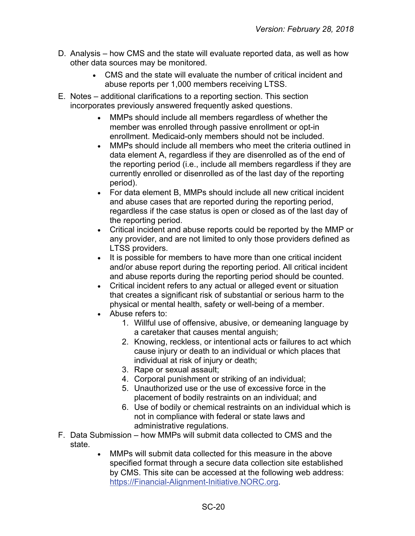- D. Analysis how CMS and the state will evaluate reported data, as well as how other data sources may be monitored.
	- CMS and the state will evaluate the number of critical incident and abuse reports per 1,000 members receiving LTSS.
- E. Notes additional clarifications to a reporting section. This section incorporates previously answered frequently asked questions.
	- MMPs should include all members regardless of whether the member was enrolled through passive enrollment or opt-in enrollment. Medicaid-only members should not be included.
	- MMPs should include all members who meet the criteria outlined in data element A, regardless if they are disenrolled as of the end of the reporting period (i.e., include all members regardless if they are currently enrolled or disenrolled as of the last day of the reporting period).
	- For data element B, MMPs should include all new critical incident and abuse cases that are reported during the reporting period, regardless if the case status is open or closed as of the last day of the reporting period.
	- Critical incident and abuse reports could be reported by the MMP or any provider, and are not limited to only those providers defined as LTSS providers.
	- It is possible for members to have more than one critical incident and/or abuse report during the reporting period. All critical incident and abuse reports during the reporting period should be counted.
	- Critical incident refers to any actual or alleged event or situation that creates a significant risk of substantial or serious harm to the physical or mental health, safety or well-being of a member.
	- Abuse refers to:
		- 1. Willful use of offensive, abusive, or demeaning language by a caretaker that causes mental anguish;
		- 2. Knowing, reckless, or intentional acts or failures to act which cause injury or death to an individual or which places that individual at risk of injury or death;
		- 3. Rape or sexual assault;
		- 4. Corporal punishment or striking of an individual;
		- 5. Unauthorized use or the use of excessive force in the placement of bodily restraints on an individual; and
		- 6. Use of bodily or chemical restraints on an individual which is not in compliance with federal or state laws and administrative regulations.
- F. Data Submission how MMPs will submit data collected to CMS and the state.
	- MMPs will submit data collected for this measure in the above specified format through a secure data collection site established by CMS. This site can be accessed at the following web address: [https://Financial-Alignment-Initiative.NORC.org.](https://financial-alignment-initiative.norc.org/)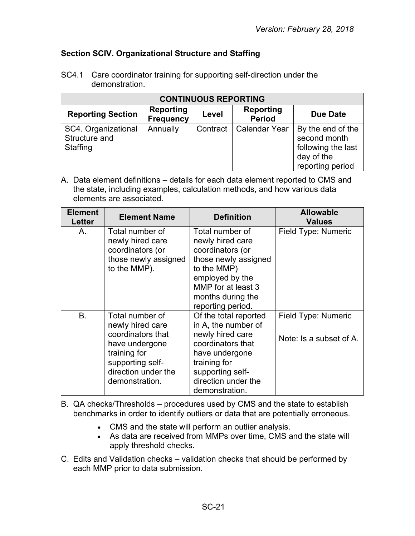## <span id="page-20-0"></span>**Section SCIV. Organizational Structure and Staffing**

| <b>CONTINUOUS REPORTING</b>                      |                                      |          |                                   |                                                                                           |  |
|--------------------------------------------------|--------------------------------------|----------|-----------------------------------|-------------------------------------------------------------------------------------------|--|
| <b>Reporting Section</b>                         | <b>Reporting</b><br><b>Frequency</b> | Level    | <b>Reporting</b><br><b>Period</b> | Due Date                                                                                  |  |
| SC4. Organizational<br>Structure and<br>Staffing | Annually                             | Contract | <b>Calendar Year</b>              | By the end of the<br>second month<br>following the last<br>day of the<br>reporting period |  |

SC4.1 Care coordinator training for supporting self-direction under the demonstration.

A. Data element definitions – details for each data element reported to CMS and the state, including examples, calculation methods, and how various data elements are associated.

| <b>Element</b><br>Letter | <b>Element Name</b>                                                                                                                                     | <b>Definition</b>                                                                                                                                                                    | <b>Allowable</b><br><b>Values</b>              |
|--------------------------|---------------------------------------------------------------------------------------------------------------------------------------------------------|--------------------------------------------------------------------------------------------------------------------------------------------------------------------------------------|------------------------------------------------|
| Α.                       | Total number of<br>newly hired care<br>coordinators (or<br>those newly assigned<br>to the MMP).                                                         | Total number of<br>newly hired care<br>coordinators (or<br>those newly assigned<br>to the MMP)<br>employed by the<br>MMP for at least 3<br>months during the<br>reporting period.    | Field Type: Numeric                            |
| <b>B.</b>                | Total number of<br>newly hired care<br>coordinators that<br>have undergone<br>training for<br>supporting self-<br>direction under the<br>demonstration. | Of the total reported<br>in A, the number of<br>newly hired care<br>coordinators that<br>have undergone<br>training for<br>supporting self-<br>direction under the<br>demonstration. | Field Type: Numeric<br>Note: Is a subset of A. |

B. QA checks/Thresholds – procedures used by CMS and the state to establish benchmarks in order to identify outliers or data that are potentially erroneous.

- CMS and the state will perform an outlier analysis.
- As data are received from MMPs over time, CMS and the state will apply threshold checks.
- C. Edits and Validation checks validation checks that should be performed by each MMP prior to data submission.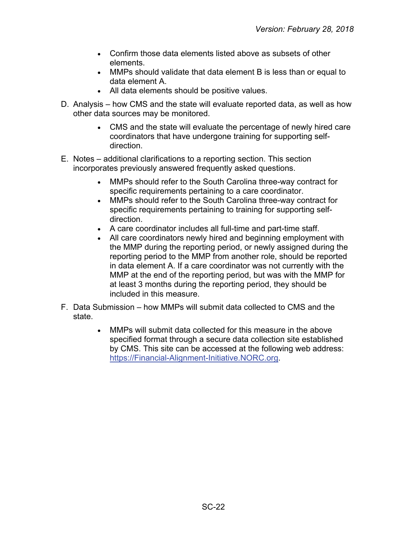- Confirm those data elements listed above as subsets of other elements.
- MMPs should validate that data element B is less than or equal to data element A.
- All data elements should be positive values.
- D. Analysis how CMS and the state will evaluate reported data, as well as how other data sources may be monitored.
	- CMS and the state will evaluate the percentage of newly hired care coordinators that have undergone training for supporting selfdirection.
- E. Notes additional clarifications to a reporting section. This section incorporates previously answered frequently asked questions.
	- MMPs should refer to the South Carolina three-way contract for specific requirements pertaining to a care coordinator.
	- MMPs should refer to the South Carolina three-way contract for specific requirements pertaining to training for supporting selfdirection.
	- A care coordinator includes all full-time and part-time staff.
	- All care coordinators newly hired and beginning employment with the MMP during the reporting period, or newly assigned during the reporting period to the MMP from another role, should be reported in data element A. If a care coordinator was not currently with the MMP at the end of the reporting period, but was with the MMP for at least 3 months during the reporting period, they should be included in this measure.
- F. Data Submission how MMPs will submit data collected to CMS and the state.
	- MMPs will submit data collected for this measure in the above specified format through a secure data collection site established by CMS. This site can be accessed at the following web address: [https://Financial-Alignment-Initiative.NORC.org.](https://financial-alignment-initiative.norc.org/)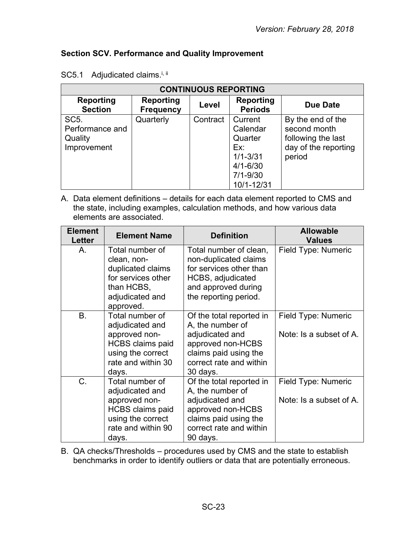## <span id="page-22-0"></span>**Section SCV. Performance and Quality Improvement**

| <b>CONTINUOUS REPORTING</b>                                    |                                      |          |                                                                                                     |                                                                                           |  |
|----------------------------------------------------------------|--------------------------------------|----------|-----------------------------------------------------------------------------------------------------|-------------------------------------------------------------------------------------------|--|
| <b>Reporting</b><br><b>Section</b>                             | <b>Reporting</b><br><b>Frequency</b> | Level    | <b>Reporting</b><br><b>Periods</b>                                                                  | <b>Due Date</b>                                                                           |  |
| SC <sub>5</sub> .<br>Performance and<br>Quality<br>Improvement | Quarterly                            | Contract | Current<br>Calendar<br>Quarter<br>Ex:<br>$1/1 - 3/31$<br>$4/1 - 6/30$<br>$7/1 - 9/30$<br>10/1-12/31 | By the end of the<br>second month<br>following the last<br>day of the reporting<br>period |  |

| SC5.1 Adjudicated claims. <sup>i, ii</sup> |  |
|--------------------------------------------|--|
|--------------------------------------------|--|

A. Data element definitions – details for each data element reported to CMS and the state, including examples, calculation methods, and how various data elements are associated.

| <b>Element</b><br>Letter | <b>Element Name</b>                                                                                                                | <b>Definition</b>                                                                                                                                    | <b>Allowable</b><br><b>Values</b>              |
|--------------------------|------------------------------------------------------------------------------------------------------------------------------------|------------------------------------------------------------------------------------------------------------------------------------------------------|------------------------------------------------|
| А.                       | Total number of<br>clean, non-<br>duplicated claims<br>for services other<br>than HCBS,<br>adjudicated and<br>approved.            | Total number of clean,<br>non-duplicated claims<br>for services other than<br>HCBS, adjudicated<br>and approved during<br>the reporting period.      | Field Type: Numeric                            |
| <b>B.</b>                | Total number of<br>adjudicated and<br>approved non-<br><b>HCBS</b> claims paid<br>using the correct<br>rate and within 30<br>days. | Of the total reported in<br>A, the number of<br>adjudicated and<br>approved non-HCBS<br>claims paid using the<br>correct rate and within<br>30 days. | Field Type: Numeric<br>Note: Is a subset of A. |
| C.                       | Total number of<br>adjudicated and<br>approved non-<br><b>HCBS</b> claims paid<br>using the correct<br>rate and within 90<br>days. | Of the total reported in<br>A, the number of<br>adjudicated and<br>approved non-HCBS<br>claims paid using the<br>correct rate and within<br>90 days. | Field Type: Numeric<br>Note: Is a subset of A. |

B. QA checks/Thresholds – procedures used by CMS and the state to establish benchmarks in order to identify outliers or data that are potentially erroneous.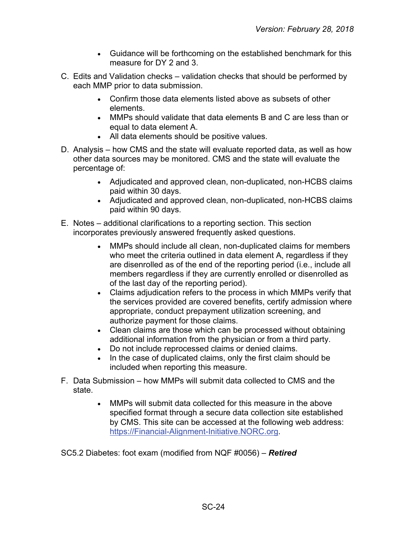- Guidance will be forthcoming on the established benchmark for this measure for DY 2 and 3.
- C. Edits and Validation checks validation checks that should be performed by each MMP prior to data submission.
	- Confirm those data elements listed above as subsets of other elements.
	- MMPs should validate that data elements B and C are less than or equal to data element A.
	- All data elements should be positive values.
- D. Analysis how CMS and the state will evaluate reported data, as well as how other data sources may be monitored. CMS and the state will evaluate the percentage of:
	- Adjudicated and approved clean, non-duplicated, non-HCBS claims paid within 30 days.
	- Adjudicated and approved clean, non-duplicated, non-HCBS claims paid within 90 days.
- E. Notes additional clarifications to a reporting section. This section incorporates previously answered frequently asked questions.
	- MMPs should include all clean, non-duplicated claims for members who meet the criteria outlined in data element A, regardless if they are disenrolled as of the end of the reporting period (i.e., include all members regardless if they are currently enrolled or disenrolled as of the last day of the reporting period).
	- Claims adjudication refers to the process in which MMPs verify that the services provided are covered benefits, certify admission where appropriate, conduct prepayment utilization screening, and authorize payment for those claims.
	- Clean claims are those which can be processed without obtaining additional information from the physician or from a third party.
	- Do not include reprocessed claims or denied claims.
	- In the case of duplicated claims, only the first claim should be included when reporting this measure.
- F. Data Submission how MMPs will submit data collected to CMS and the state.
	- MMPs will submit data collected for this measure in the above specified format through a secure data collection site established by CMS. This site can be accessed at the following web address: [https://Financial-Alignment-Initiative.NORC.org.](https://financial-alignment-initiative.norc.org/)

SC5.2 Diabetes: foot exam (modified from NQF #0056) – *Retired*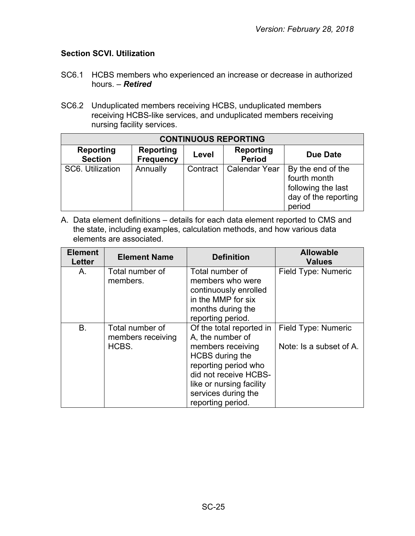## <span id="page-24-0"></span>**Section SCVI. Utilization**

- SC6.1 HCBS members who experienced an increase or decrease in authorized hours. – *Retired*
- SC6.2 Unduplicated members receiving HCBS, unduplicated members receiving HCBS-like services, and unduplicated members receiving nursing facility services.

| <b>CONTINUOUS REPORTING</b>        |                                      |          |                                   |                                                                                           |  |
|------------------------------------|--------------------------------------|----------|-----------------------------------|-------------------------------------------------------------------------------------------|--|
| <b>Reporting</b><br><b>Section</b> | <b>Reporting</b><br><b>Frequency</b> | Level    | <b>Reporting</b><br><b>Period</b> | Due Date                                                                                  |  |
| SC6. Utilization                   | Annually                             | Contract | <b>Calendar Year</b>              | By the end of the<br>fourth month<br>following the last<br>day of the reporting<br>period |  |

A. Data element definitions – details for each data element reported to CMS and the state, including examples, calculation methods, and how various data elements are associated.

| <b>Element</b><br><b>Letter</b> | <b>Element Name</b>                           | <b>Definition</b>                                                                                                                                                                                             | <b>Allowable</b><br><b>Values</b>              |
|---------------------------------|-----------------------------------------------|---------------------------------------------------------------------------------------------------------------------------------------------------------------------------------------------------------------|------------------------------------------------|
| Α.                              | Total number of<br>members.                   | Total number of<br>members who were<br>continuously enrolled<br>in the MMP for six<br>months during the<br>reporting period.                                                                                  | Field Type: Numeric                            |
| <b>B.</b>                       | Total number of<br>members receiving<br>HCBS. | Of the total reported in<br>A, the number of<br>members receiving<br>HCBS during the<br>reporting period who<br>did not receive HCBS-<br>like or nursing facility<br>services during the<br>reporting period. | Field Type: Numeric<br>Note: Is a subset of A. |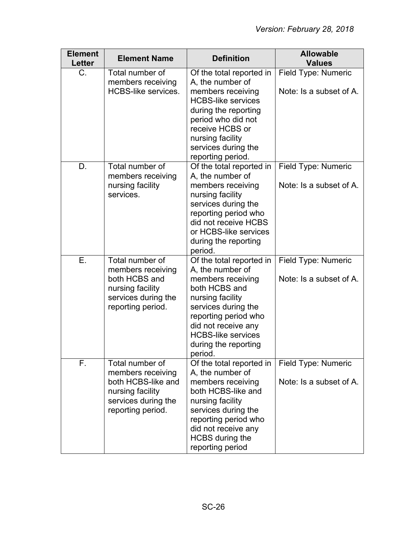| <b>Element</b><br><b>Letter</b> | <b>Element Name</b>                                                                                                        | <b>Definition</b>                                                                                                                                                                                                                            | <b>Allowable</b><br><b>Values</b>              |
|---------------------------------|----------------------------------------------------------------------------------------------------------------------------|----------------------------------------------------------------------------------------------------------------------------------------------------------------------------------------------------------------------------------------------|------------------------------------------------|
| $C_{\cdot}$                     | Total number of<br>members receiving<br><b>HCBS-like services.</b>                                                         | Of the total reported in<br>A, the number of<br>members receiving<br><b>HCBS-like services</b><br>during the reporting<br>period who did not<br>receive HCBS or<br>nursing facility<br>services during the<br>reporting period.              | Field Type: Numeric<br>Note: Is a subset of A. |
| D.                              | Total number of<br>members receiving<br>nursing facility<br>services.                                                      | Of the total reported in<br>A, the number of<br>members receiving<br>nursing facility<br>services during the<br>reporting period who<br>did not receive HCBS<br>or HCBS-like services<br>during the reporting<br>period.                     | Field Type: Numeric<br>Note: Is a subset of A. |
| Ε.                              | Total number of<br>members receiving<br>both HCBS and<br>nursing facility<br>services during the<br>reporting period.      | Of the total reported in<br>A, the number of<br>members receiving<br>both HCBS and<br>nursing facility<br>services during the<br>reporting period who<br>did not receive any<br><b>HCBS-like services</b><br>during the reporting<br>period. | Field Type: Numeric<br>Note: Is a subset of A. |
| F.                              | Total number of<br>members receiving<br>both HCBS-like and<br>nursing facility<br>services during the<br>reporting period. | Of the total reported in<br>A, the number of<br>members receiving<br>both HCBS-like and<br>nursing facility<br>services during the<br>reporting period who<br>did not receive any<br><b>HCBS</b> during the<br>reporting period              | Field Type: Numeric<br>Note: Is a subset of A. |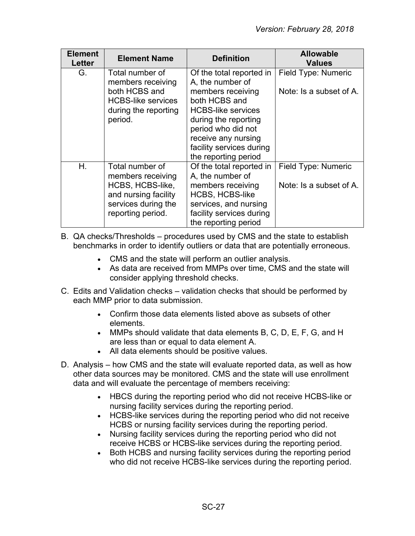| <b>Element</b><br><b>Letter</b> | <b>Element Name</b>                        | <b>Definition</b>                            | <b>Allowable</b><br><b>Values</b> |
|---------------------------------|--------------------------------------------|----------------------------------------------|-----------------------------------|
| G.                              | Total number of<br>members receiving       | Of the total reported in<br>A, the number of | Field Type: Numeric               |
|                                 | both HCBS and<br><b>HCBS-like services</b> | members receiving<br>both HCBS and           | Note: Is a subset of A.           |
|                                 | during the reporting                       | <b>HCBS-like services</b>                    |                                   |
|                                 | period.                                    | during the reporting                         |                                   |
|                                 |                                            | period who did not<br>receive any nursing    |                                   |
|                                 |                                            | facility services during                     |                                   |
|                                 |                                            | the reporting period                         |                                   |
| $H_{\cdot}$                     | Total number of                            | Of the total reported in                     | Field Type: Numeric               |
|                                 | members receiving                          | A, the number of                             |                                   |
|                                 | HCBS, HCBS-like,                           | members receiving                            | Note: Is a subset of A.           |
|                                 | and nursing facility                       | <b>HCBS, HCBS-like</b>                       |                                   |
|                                 | services during the                        | services, and nursing                        |                                   |
|                                 | reporting period.                          | facility services during                     |                                   |
|                                 |                                            | the reporting period                         |                                   |

B. QA checks/Thresholds – procedures used by CMS and the state to establish benchmarks in order to identify outliers or data that are potentially erroneous.

- CMS and the state will perform an outlier analysis.
- As data are received from MMPs over time, CMS and the state will consider applying threshold checks.
- C. Edits and Validation checks validation checks that should be performed by each MMP prior to data submission.
	- Confirm those data elements listed above as subsets of other elements.
	- MMPs should validate that data elements B, C, D, E, F, G, and H are less than or equal to data element A.
	- All data elements should be positive values.
- D. Analysis how CMS and the state will evaluate reported data, as well as how other data sources may be monitored. CMS and the state will use enrollment data and will evaluate the percentage of members receiving:
	- HBCS during the reporting period who did not receive HCBS-like or nursing facility services during the reporting period.
	- HCBS-like services during the reporting period who did not receive HCBS or nursing facility services during the reporting period.
	- Nursing facility services during the reporting period who did not receive HCBS or HCBS-like services during the reporting period.
	- Both HCBS and nursing facility services during the reporting period who did not receive HCBS-like services during the reporting period.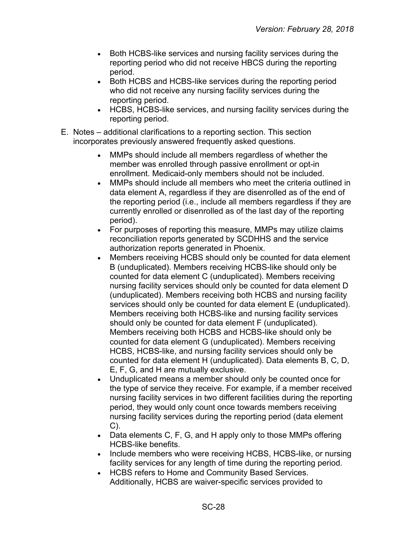- Both HCBS-like services and nursing facility services during the reporting period who did not receive HBCS during the reporting period.
- Both HCBS and HCBS-like services during the reporting period who did not receive any nursing facility services during the reporting period.
- HCBS, HCBS-like services, and nursing facility services during the reporting period.
- E. Notes additional clarifications to a reporting section. This section incorporates previously answered frequently asked questions.
	- MMPs should include all members regardless of whether the member was enrolled through passive enrollment or opt-in enrollment. Medicaid-only members should not be included.
	- MMPs should include all members who meet the criteria outlined in data element A, regardless if they are disenrolled as of the end of the reporting period (i.e., include all members regardless if they are currently enrolled or disenrolled as of the last day of the reporting period).
	- For purposes of reporting this measure, MMPs may utilize claims reconciliation reports generated by SCDHHS and the service authorization reports generated in Phoenix.
	- Members receiving HCBS should only be counted for data element B (unduplicated). Members receiving HCBS-like should only be counted for data element C (unduplicated). Members receiving nursing facility services should only be counted for data element D (unduplicated). Members receiving both HCBS and nursing facility services should only be counted for data element E (unduplicated). Members receiving both HCBS-like and nursing facility services should only be counted for data element F (unduplicated). Members receiving both HCBS and HCBS-like should only be counted for data element G (unduplicated). Members receiving HCBS, HCBS-like, and nursing facility services should only be counted for data element H (unduplicated). Data elements B, C, D, E, F, G, and H are mutually exclusive.
	- Unduplicated means a member should only be counted once for the type of service they receive. For example, if a member received nursing facility services in two different facilities during the reporting period, they would only count once towards members receiving nursing facility services during the reporting period (data element  $C$ ).
	- Data elements C, F, G, and H apply only to those MMPs offering HCBS-like benefits.
	- Include members who were receiving HCBS, HCBS-like, or nursing facility services for any length of time during the reporting period.
	- HCBS refers to Home and Community Based Services. Additionally, HCBS are waiver-specific services provided to